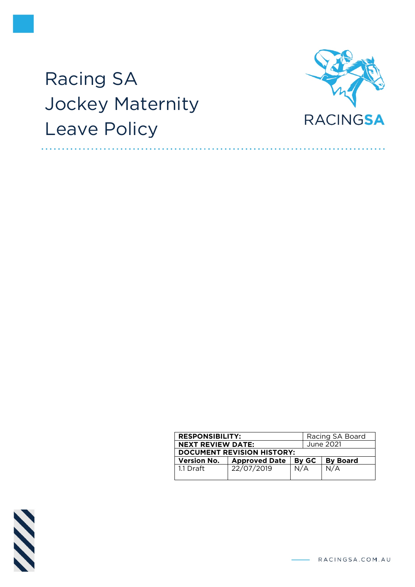# Racing SA Jockey Maternity Leave Policy



| <b>RESPONSIBILITY:</b>            |                      |           | Racing SA Board |  |
|-----------------------------------|----------------------|-----------|-----------------|--|
| <b>NEXT REVIEW DATE:</b>          |                      | June 2021 |                 |  |
| <b>DOCUMENT REVISION HISTORY:</b> |                      |           |                 |  |
| <b>Version No.</b>                | <b>Approved Date</b> |           |                 |  |
|                                   |                      | By GC     | <b>By Board</b> |  |



RACINGSA.COM.AU